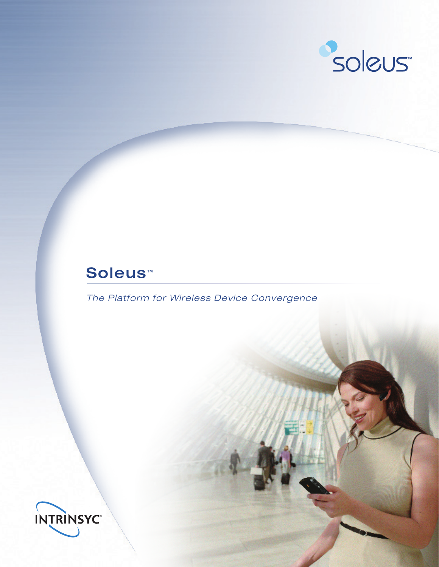

# Soleus<sup>™</sup>

*The Platform for Wireless Device Convergence*

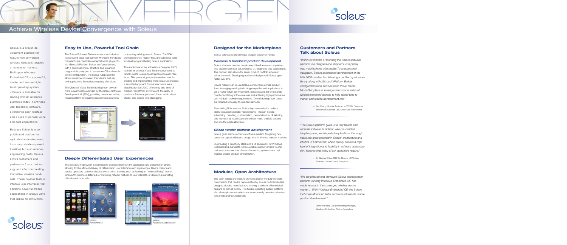<sup>"The Soleus platform gives us a very flexible and</sup> *versatile software foundation with pre-certified Software provider product development telephony and pre-integrated applications. Our engi*neers see great potential in Soleus' architecture and *intuitive UI Framework, which quickly delivers a high* **level of integration and flexibility in software customiza***tion; features that many of our customers require."* market with minimal incremental effort.

Revenue Per Unit (ARPU) with dynamic themes, interface genera-

# **Modular, Open Architecture**

The open Soleus architecture provides a set of modular software components that can be deployed flexibly across multiple handset designs, allowing manufacturers to bring a family of differentiated designs to market quickly. This flexible operating system platform also allows phone manufacturers to more easily provide customization and branding functionality.



Soleus is a proven development platform for feature-rich converged wireless handsets targeted at consumer markets. Built upon Windows Embedded CE – a powerful, stable, and secure highlevel operating system – Soleus is available on leading chipset reference platforms today. It provides vital telephony software, a reference user interface, and a suite of popular voice and data applications.

Because Soleus is a sophisticated platform for rapid device development, it not only shortens project timelines but also reduces engineering costs. Soleus allows customers and partners to focus their energy and effort on creating innovative wireless handsets. These devices feature intuitive user interfaces that combine powerful mobile applications in unique ways that appeal to consumers.



# **Designed for the Marketplace**

Soleus addresses four principal areas of customer needs:

#### *Wireless & handheld product development*

Soleus shortens handset development timelines as a comprehensive platform with tool set, reference UI, telephony, and applications. The platform also allows for easier product portfolio extension without re-work. Developing additional designs with Soleus gets faster over time.

*"Within six months of licensing the Soleus software* platform, we designed and shipped a completely *new mobile phone with mobile TV and personal Carrier product differentiation & MSI 5608 handset by delivering a certified applications revenue generation library, along with Microsoft Platform Builder*   $\mathcal{S}$  solences service operators to define user experiences of  $\mathcal{S}$  ( $\mathcal{S}$  )  $\mathcal{S}$  ( $\mathcal{S}$  ) and  $\mathcal{S}$ configuration tools and Microsoft Visual Studio. *Micro-Star plans to leverage Soleus for a series of wireless handheld devices to help speed time to* To create a complete branding experience, developers can build *market and reduce development risk." navigation. Soleus accelerated development of the* 

Device makers can re-use Soleus components across product lines, leveraging existing technology expertise and applications to get a higher return on investment. Soleus lowers bill-of-materials cost by facilitating software re-use and achieving high performance with modest hardware requirements. Overall development costs are reduced with easy-to-use, familiar tools.

carrier and regional variants – or implement operator-specific brand-– Rex Chang, Special Assistant to VP/GM Consumer ing throughout the device experience, not just the home screen. Electronics Business Unit, Micro-Star International

By enabling UI innovation, Soleus improves a device maker's ability to support operator requirements. This can include advertising, branding, customization, personalization, UI skinning, and themes that reach beyond the main menu and idle screens and into the application level.

> platform, running Windows Embedded CE, has Application Suite *made inroads in the converged wireless device*  Soleus Telephony market ... With Windows Embedded CE, the Soleus *"We are pleased that Intrinsyc's Soleus development tool chain allows for faster and more affordable mobile product development."*

#### *Silicon vendor platform development*

Soleus gives silicon vendors a software solution for gaining new customer opportunities and design wins in wireless handset markets.

By providing a telephony stack and a UI framework for Windows Embedded CE handsets, Soleus enables silicon vendors to offer their customers another choice of operating system – one that enables greater product differentiation.

# **Easy to Use, Powerful Tool Chain**

The Soleus Software Platform extends an industrytested world-class tool set from Microsoft. For device manufacturers, the Soleus Adaptation Kit plugs into the Microsoft Platform Builder configuration tool, with a combined menu structure and expanded drag-and-drop support to accelerate OS and mobile device configuration. The Soleus Adaptation Kit allows developers to select their device features and applications from a large catalog of choices.

The Microsoft Visual Studio development environment is seamlessly extended by the Soleus Software Development Kit (SDK), providing developers with a robust platform for creating new software solutions

# **Deeply Differentiated User Experiences**

The Soleus UI Framework is optimized to delineate between the application and presentation layers, allowing for the efficient delivery of differentiated user interfaces and experiences. Device makers and service operators can even develop event-driven themes, such as loading an "Internet Ready" theme when a Wi-Fi zone is detected, or matching network features to user interests, or displaying marketing offers based on location.

# Achieve Wireless Device Convergence with Soleus

or adapting existing ones to Soleus. The SDK provides libraries, header files, and additional tools for developing and testing Soleus applications.

The revolutionary User eXperience Designer (UXD) tool further extends Visual Studio design tools to rapidly create Soleus-based application user interfaces. This powerful, productive environment for creating and implementing world-class UIs provides a simplified approach for manufacturers. As a visual design tool, UXD offers drag-and-drop UI creation, WYSIWYG environment, the ability to preview a Soleus application UI from within Visual Studio, and source-level debugging.





# **Customers and Partners Talk about Soleus**

– Dr. George Chiou, R&D Sr. Director of Wireless Business Unit at Quanta Computer

– Olivier Fontana, Group Marketing Manager, Windows Embedded Partner Marketing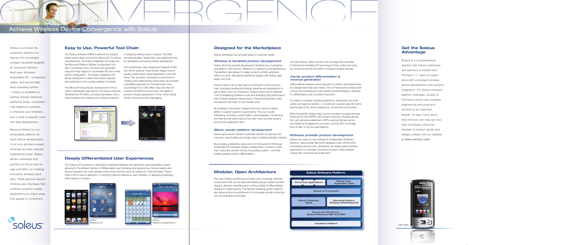And with Soleus, silicon vendors can leverage their expertise in Windows Embedded CE technology to help customers bring up consumer phones and other converged wireless devices.

## *Carrier product differentiation & revenue generation*

Soleus allows wireless service operators to define user experiences at a deeper level than ever before. The UI Framework provides total control over branding and user interface implementations, allowing for differentiation plus consistent execution.

To create a complete branding experience, developers can build carrier and regional variants – or implement operator-specific branding throughout the device experience, not just the home screen.

Most importantly, Soleus helps service providers increase Average Revenue Per Unit (ARPU) with dynamic themes, interface generation, and services enablement. ARPU-earning themes can be pre-loaded and triggered by an event, such as Wi-Fi coverage, time-of-day, or low pre-paid balance.

### *Software provider product development*

Soleus can open up new markets for Independent Software Vendors. Using familiar Microsoft developer tools, Win32 APIs, and existing source code, developers can easily extend existing applications to a broader consumer-focused mobile handset market with minimal incremental effort.



# **Modular, Open Architecture**

The open Soleus architecture provides a set of modular software components that can be deployed flexibly across multiple handset designs, allowing manufacturers to bring a family of differentiated designs to market quickly. This flexible operating system platform also allows phone manufacturers to more easily provide customization and branding functionality.

Soleus is a proven development platform for feature-rich converged wireless handsets targeted at consumer markets. Built upon Windows Embedded CE – a powerful, stable, and secure highlevel operating system – Soleus is available on leading chipset reference platforms today. It provides vital telephony software, a reference user interface, and a suite of popular voice and data applications.

Because Soleus is a sophisticated platform for rapid device development, it not only shortens project timelines but also reduces engineering costs. Soleus allows customers and partners to focus their energy and effort on creating innovative wireless handsets. These devices feature intuitive user interfaces that combine powerful mobile applications in unique ways that appeal to consumers.



# **Designed for the Marketplace**

Soleus addresses four principal areas of customer needs:

#### *Wireless & handheld product development*

Soleus shortens handset development timelines as a comprehensive platform with tool set, reference UI, telephony, and applications. The platform also allows for easier product portfolio extension without re-work. Developing additional designs with Soleus gets faster over time.

Device makers can re-use Soleus components across product lines, leveraging existing technology expertise and applications to get a higher return on investment. Soleus lowers bill-of-materials cost by facilitating software re-use and achieving high performance with modest hardware requirements. Overall development costs are reduced with easy-to-use, familiar tools.

By enabling UI innovation, Soleus improves a device maker's ability to support operator requirements. This can include advertising, branding, customization, personalization, UI skinning, and themes that reach beyond the main menu and idle screens and into the application level.

#### *Silicon vendor platform development*

Soleus gives silicon vendors a software solution for gaining new customer opportunities and design wins in wireless handset markets.

By providing a telephony stack and a UI framework for Windows Embedded CE handsets, Soleus enables silicon vendors to offer their customers another choice of operating system – one that enables greater product differentiation.



# **Easy to Use, Powerful Tool Chain**

The Soleus Software Platform extends an industrytested world-class tool set from Microsoft. For device provides libraries, header files, and additional tools manufacturers, the Soleus Adaptation Kit plugs into the Microsoft Platform Builder configuration tool, with a combined menu structure and expanded drag-and-drop support to accelerate OS and mobile device configuration. The Soleus Adaptation Kit allows developers to select their device features and applications from a large catalog of choices.

The Microsoft Visual Studio development environment is seamlessly extended by the Soleus Software Development Kit (SDK), providing developers with a robust platform for creating new software solutions

# **Deeply Differentiated User Experiences**

The Soleus UI Framework is optimized to delineate between the application and presentation layers, allowing for the efficient delivery of differentiated user interfaces and experiences. Device makers and service operators can even develop event-driven themes, such as loading an "Internet Ready" theme when a Wi-Fi zone is detected, or matching network features to user interests, or displaying marketing offers based on location.

# **Get the Soleus Advantage**

Soleus is a comprehensive solution that allows customers and partners to benefit from Intrinsyc's 11 years of experience with converged wireless device development and systems integration. For Soleus software platform licensees, access to Intrinsyc's world-class wireless engineering resources and services is an important benefit. To learn more about how Intrinsyc can help get your next converged consumer handset to market rapidly and reliably, please visit our website at www.intrinsyc.com.

# Achieve Wireless Device Convergence with Soleus

or adapting existing ones to Soleus. The SDK for developing and testing Soleus applications.

The revolutionary User eXperience Designer (UXD) tool further extends Visual Studio design tools to rapidly create Soleus-based application user interfaces. This powerful, productive environment for creating and implementing world-class UIs provides a simplified approach for manufacturers. As a visual design tool, UXD offers drag-and-drop UI creation, WYSIWYG environment, the ability to preview a Soleus application UI from within Visual Studio, and source-level debugging.